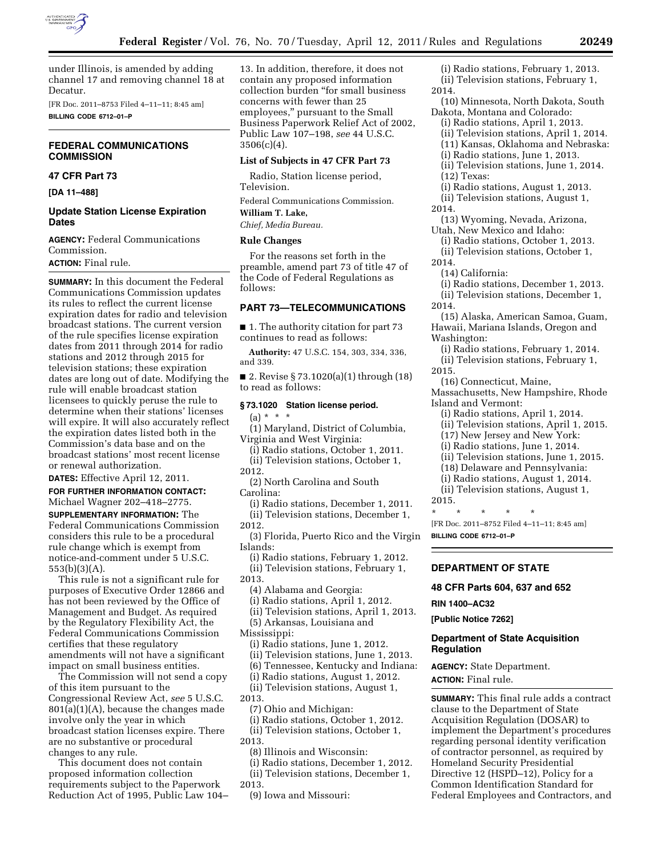

under Illinois, is amended by adding channel 17 and removing channel 18 at Decatur.

[FR Doc. 2011–8753 Filed 4–11–11; 8:45 am] **BILLING CODE 6712–01–P** 

# **FEDERAL COMMUNICATIONS COMMISSION**

## **47 CFR Part 73**

**[DA 11–488]** 

### **Update Station License Expiration Dates**

**AGENCY:** Federal Communications Commission.

**ACTION:** Final rule.

**SUMMARY:** In this document the Federal Communications Commission updates its rules to reflect the current license expiration dates for radio and television broadcast stations. The current version of the rule specifies license expiration dates from 2011 through 2014 for radio stations and 2012 through 2015 for television stations; these expiration dates are long out of date. Modifying the rule will enable broadcast station licensees to quickly peruse the rule to determine when their stations' licenses will expire. It will also accurately reflect the expiration dates listed both in the Commission's data base and on the broadcast stations' most recent license or renewal authorization.

**DATES:** Effective April 12, 2011.

**FOR FURTHER INFORMATION CONTACT:**  Michael Wagner 202–418–2775.

**SUPPLEMENTARY INFORMATION:** The Federal Communications Commission considers this rule to be a procedural rule change which is exempt from notice-and-comment under 5 U.S.C. 553(b)(3)(A).

This rule is not a significant rule for purposes of Executive Order 12866 and has not been reviewed by the Office of Management and Budget. As required by the Regulatory Flexibility Act, the Federal Communications Commission certifies that these regulatory amendments will not have a significant impact on small business entities.

The Commission will not send a copy of this item pursuant to the Congressional Review Act, *see* 5 U.S.C. 801(a)(1)(A), because the changes made involve only the year in which broadcast station licenses expire. There are no substantive or procedural changes to any rule.

This document does not contain proposed information collection requirements subject to the Paperwork Reduction Act of 1995, Public Law 104– 13. In addition, therefore, it does not contain any proposed information collection burden ''for small business concerns with fewer than 25 employees,'' pursuant to the Small Business Paperwork Relief Act of 2002, Public Law 107–198, *see* 44 U.S.C.  $3506(c)(4)$ .

### **List of Subjects in 47 CFR Part 73**

Radio, Station license period, Television.

Federal Communications Commission. **William T. Lake,** 

*Chief, Media Bureau.* 

# **Rule Changes**

For the reasons set forth in the preamble, amend part 73 of title 47 of the Code of Federal Regulations as follows:

# **PART 73—TELECOMMUNICATIONS**

■ 1. The authority citation for part 73 continues to read as follows:

**Authority:** 47 U.S.C. 154, 303, 334, 336, and 339.

■ 2. Revise § 73.1020(a)(1) through (18) to read as follows:

### **§ 73.1020 Station license period.**

 $(a) * * * *$ 

(1) Maryland, District of Columbia, Virginia and West Virginia:

(i) Radio stations, October 1, 2011. (ii) Television stations, October 1, 2012.

(2) North Carolina and South Carolina:

(i) Radio stations, December 1, 2011. (ii) Television stations, December 1,

2012.

(3) Florida, Puerto Rico and the Virgin Islands:

- (i) Radio stations, February 1, 2012. (ii) Television stations, February 1,
- 2013.

(4) Alabama and Georgia:

(i) Radio stations, April 1, 2012.

(ii) Television stations, April 1, 2013.

(5) Arkansas, Louisiana and

Mississippi:

(i) Radio stations, June 1, 2012.

(ii) Television stations, June 1, 2013.

(6) Tennessee, Kentucky and Indiana:

(i) Radio stations, August 1, 2012. (ii) Television stations, August 1,

2013.

(7) Ohio and Michigan:

(i) Radio stations, October 1, 2012. (ii) Television stations, October 1,

2013.

(8) Illinois and Wisconsin:

(i) Radio stations, December 1, 2012. (ii) Television stations, December 1,

2013.

(9) Iowa and Missouri:

- (i) Radio stations, February 1, 2013. (ii) Television stations, February 1, 2014.
- (10) Minnesota, North Dakota, South Dakota, Montana and Colorado:
- (i) Radio stations, April 1, 2013. (ii) Television stations, April 1, 2014.
	- (11) Kansas, Oklahoma and Nebraska:
	- (i) Radio stations, June 1, 2013.
	- (ii) Television stations, June 1, 2014. (12) Texas:
- (i) Radio stations, August 1, 2013.
- (ii) Television stations, August 1,
- 2014.

(13) Wyoming, Nevada, Arizona, Utah, New Mexico and Idaho:

- (i) Radio stations, October 1, 2013. (ii) Television stations, October 1,
- 2014.
	- (14) California:
- (i) Radio stations, December 1, 2013. (ii) Television stations, December 1, 2014.
- (15) Alaska, American Samoa, Guam, Hawaii, Mariana Islands, Oregon and Washington:

(i) Radio stations, February 1, 2014. (ii) Television stations, February 1, 2015.

- (16) Connecticut, Maine,
- Massachusetts, New Hampshire, Rhode Island and Vermont:
	- (i) Radio stations, April 1, 2014.
- (ii) Television stations, April 1, 2015.
- (17) New Jersey and New York:
- (i) Radio stations, June 1, 2014.
- (ii) Television stations, June 1, 2015.
- (18) Delaware and Pennsylvania:
- (i) Radio stations, August 1, 2014.
- (ii) Television stations, August 1, 2015.

\* \* \* \* \* [FR Doc. 2011–8752 Filed 4–11–11; 8:45 am] **BILLING CODE 6712–01–P** 

# **DEPARTMENT OF STATE**

**48 CFR Parts 604, 637 and 652** 

**RIN 1400–AC32** 

**[Public Notice 7262]** 

## **Department of State Acquisition Regulation**

**AGENCY:** State Department. **ACTION:** Final rule.

**SUMMARY:** This final rule adds a contract clause to the Department of State Acquisition Regulation (DOSAR) to implement the Department's procedures regarding personal identity verification of contractor personnel, as required by Homeland Security Presidential Directive 12 (HSPD–12), Policy for a Common Identification Standard for Federal Employees and Contractors, and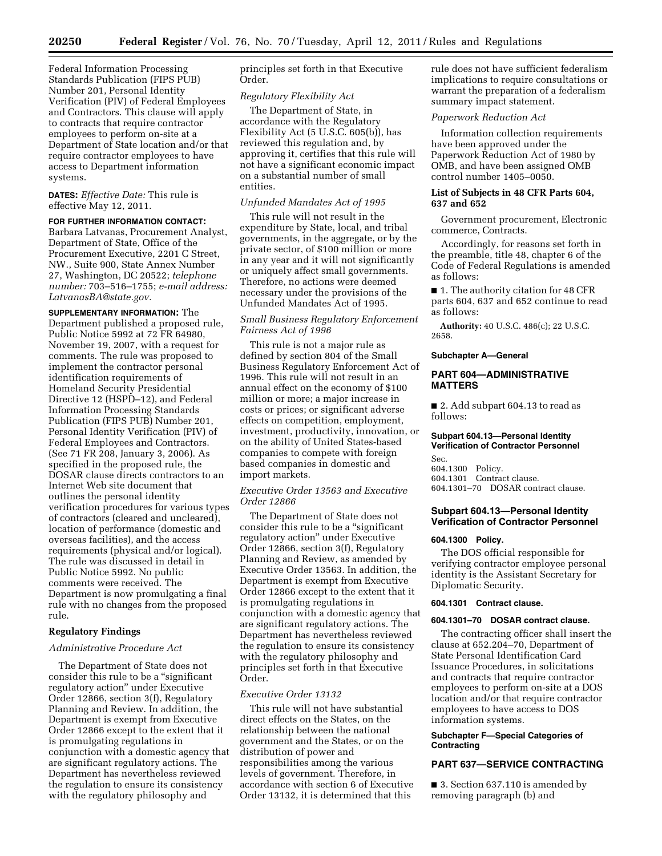Federal Information Processing Standards Publication (FIPS PUB) Number 201, Personal Identity Verification (PIV) of Federal Employees and Contractors. This clause will apply to contracts that require contractor employees to perform on-site at a Department of State location and/or that require contractor employees to have access to Department information systems.

**DATES:** *Effective Date:* This rule is effective May 12, 2011.

#### **FOR FURTHER INFORMATION CONTACT:**

Barbara Latvanas, Procurement Analyst, Department of State, Office of the Procurement Executive, 2201 C Street, NW., Suite 900, State Annex Number 27, Washington, DC 20522; *telephone number:* 703–516–1755; *e-mail address: [LatvanasBA@state.gov.](mailto:LatvanasBA@state.gov)* 

**SUPPLEMENTARY INFORMATION:** The Department published a proposed rule, Public Notice 5992 at 72 FR 64980, November 19, 2007, with a request for comments. The rule was proposed to implement the contractor personal identification requirements of Homeland Security Presidential Directive 12 (HSPD–12), and Federal Information Processing Standards Publication (FIPS PUB) Number 201, Personal Identity Verification (PIV) of Federal Employees and Contractors. (See 71 FR 208, January 3, 2006). As specified in the proposed rule, the DOSAR clause directs contractors to an Internet Web site document that outlines the personal identity verification procedures for various types of contractors (cleared and uncleared), location of performance (domestic and overseas facilities), and the access requirements (physical and/or logical). The rule was discussed in detail in Public Notice 5992. No public comments were received. The Department is now promulgating a final rule with no changes from the proposed rule.

## **Regulatory Findings**

### *Administrative Procedure Act*

The Department of State does not consider this rule to be a ''significant regulatory action'' under Executive Order 12866, section 3(f), Regulatory Planning and Review. In addition, the Department is exempt from Executive Order 12866 except to the extent that it is promulgating regulations in conjunction with a domestic agency that are significant regulatory actions. The Department has nevertheless reviewed the regulation to ensure its consistency with the regulatory philosophy and

principles set forth in that Executive Order.

## *Regulatory Flexibility Act*

The Department of State, in accordance with the Regulatory Flexibility Act (5 U.S.C. 605(b)), has reviewed this regulation and, by approving it, certifies that this rule will not have a significant economic impact on a substantial number of small entities.

### *Unfunded Mandates Act of 1995*

This rule will not result in the expenditure by State, local, and tribal governments, in the aggregate, or by the private sector, of \$100 million or more in any year and it will not significantly or uniquely affect small governments. Therefore, no actions were deemed necessary under the provisions of the Unfunded Mandates Act of 1995.

# *Small Business Regulatory Enforcement Fairness Act of 1996*

This rule is not a major rule as defined by section 804 of the Small Business Regulatory Enforcement Act of 1996. This rule will not result in an annual effect on the economy of \$100 million or more; a major increase in costs or prices; or significant adverse effects on competition, employment, investment, productivity, innovation, or on the ability of United States-based companies to compete with foreign based companies in domestic and import markets.

## *Executive Order 13563 and Executive Order 12866*

The Department of State does not consider this rule to be a ''significant regulatory action'' under Executive Order 12866, section 3(f), Regulatory Planning and Review, as amended by Executive Order 13563. In addition, the Department is exempt from Executive Order 12866 except to the extent that it is promulgating regulations in conjunction with a domestic agency that are significant regulatory actions. The Department has nevertheless reviewed the regulation to ensure its consistency with the regulatory philosophy and principles set forth in that Executive Order.

#### *Executive Order 13132*

This rule will not have substantial direct effects on the States, on the relationship between the national government and the States, or on the distribution of power and responsibilities among the various levels of government. Therefore, in accordance with section 6 of Executive Order 13132, it is determined that this

rule does not have sufficient federalism implications to require consultations or warrant the preparation of a federalism summary impact statement.

## *Paperwork Reduction Act*

Information collection requirements have been approved under the Paperwork Reduction Act of 1980 by OMB, and have been assigned OMB control number 1405–0050.

## **List of Subjects in 48 CFR Parts 604, 637 and 652**

Government procurement, Electronic commerce, Contracts.

Accordingly, for reasons set forth in the preamble, title 48, chapter 6 of the Code of Federal Regulations is amended as follows:

■ 1. The authority citation for 48 CFR parts 604, 637 and 652 continue to read as follows:

**Authority:** 40 U.S.C. 486(c); 22 U.S.C. 2658.

#### **Subchapter A—General**

## **PART 604—ADMINISTRATIVE MATTERS**

■ 2. Add subpart 604.13 to read as follows:

### **Subpart 604.13—Personal Identity Verification of Contractor Personnel**

Sec. 604.1300 Policy. 604.1301 Contract clause. 604.1301–70 DOSAR contract clause.

## **Subpart 604.13—Personal Identity Verification of Contractor Personnel**

### **604.1300 Policy.**

The DOS official responsible for verifying contractor employee personal identity is the Assistant Secretary for Diplomatic Security.

### **604.1301 Contract clause.**

### **604.1301–70 DOSAR contract clause.**

The contracting officer shall insert the clause at 652.204–70, Department of State Personal Identification Card Issuance Procedures, in solicitations and contracts that require contractor employees to perform on-site at a DOS location and/or that require contractor employees to have access to DOS information systems.

### **Subchapter F—Special Categories of Contracting**

## **PART 637—SERVICE CONTRACTING**

■ 3. Section 637.110 is amended by removing paragraph (b) and